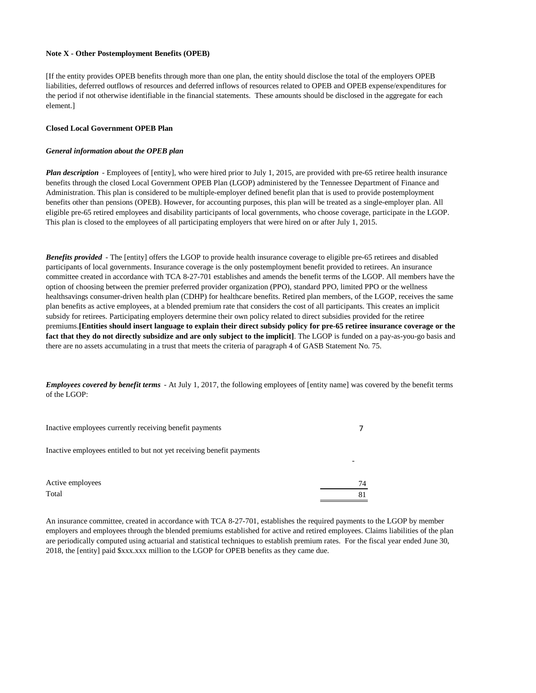#### **Note X - Other Postemployment Benefits (OPEB)**

[If the entity provides OPEB benefits through more than one plan, the entity should disclose the total of the employers OPEB liabilities, deferred outflows of resources and deferred inflows of resources related to OPEB and OPEB expense/expenditures for the period if not otherwise identifiable in the financial statements. These amounts should be disclosed in the aggregate for each element.]

#### **Closed Local Government OPEB Plan**

#### *General information about the OPEB plan*

*Plan description* - Employees of [entity], who were hired prior to July 1, 2015, are provided with pre-65 retiree health insurance benefits through the closed Local Government OPEB Plan (LGOP) administered by the Tennessee Department of Finance and Administration. This plan is considered to be multiple-employer defined benefit plan that is used to provide postemployment benefits other than pensions (OPEB). However, for accounting purposes, this plan will be treated as a single-employer plan. All eligible pre-65 retired employees and disability participants of local governments, who choose coverage, participate in the LGOP. This plan is closed to the employees of all participating employers that were hired on or after July 1, 2015.

*Benefits provided* - The [entity] offers the LGOP to provide health insurance coverage to eligible pre-65 retirees and disabled participants of local governments. Insurance coverage is the only postemployment benefit provided to retirees. An insurance committee created in accordance with TCA 8-27-701 establishes and amends the benefit terms of the LGOP. All members have the option of choosing between the premier preferred provider organization (PPO), standard PPO, limited PPO or the wellness healthsavings consumer-driven health plan (CDHP) for healthcare benefits. Retired plan members, of the LGOP, receives the same plan benefits as active employees, at a blended premium rate that considers the cost of all participants. This creates an implicit subsidy for retirees. Participating employers determine their own policy related to direct subsidies provided for the retiree premiums.**[Entities should insert language to explain their direct subsidy policy for pre-65 retiree insurance coverage or the fact that they do not directly subsidize and are only subject to the implicit]**. The LGOP is funded on a pay-as-you-go basis and there are no assets accumulating in a trust that meets the criteria of paragraph 4 of GASB Statement No. 75.

*Employees covered by benefit terms* - At July 1, 2017, the following employees of [entity name] was covered by the benefit terms of the LGOP:

| Inactive employees currently receiving benefit payments               |    |
|-----------------------------------------------------------------------|----|
| Inactive employees entitled to but not yet receiving benefit payments |    |
| Active employees                                                      | 74 |
| Total                                                                 |    |

An insurance committee, created in accordance with TCA 8-27-701, establishes the required payments to the LGOP by member employers and employees through the blended premiums established for active and retired employees. Claims liabilities of the plan are periodically computed using actuarial and statistical techniques to establish premium rates. For the fiscal year ended June 30, 2018, the [entity] paid \$xxx.xxx million to the LGOP for OPEB benefits as they came due.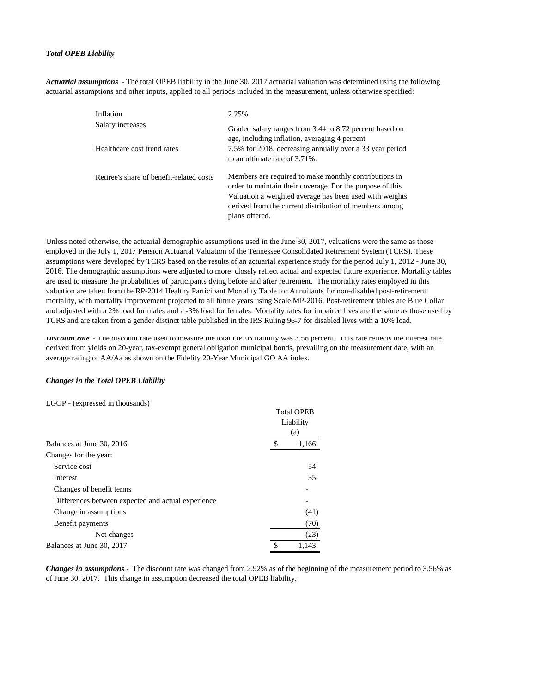#### *Total OPEB Liability*

*Actuarial assumptions* - The total OPEB liability in the June 30, 2017 actuarial valuation was determined using the following actuarial assumptions and other inputs, applied to all periods included in the measurement, unless otherwise specified:

| Inflation                                | 2.25%                                                                                                                                                                                                                                                     |
|------------------------------------------|-----------------------------------------------------------------------------------------------------------------------------------------------------------------------------------------------------------------------------------------------------------|
| Salary increases                         | Graded salary ranges from 3.44 to 8.72 percent based on<br>age, including inflation, averaging 4 percent                                                                                                                                                  |
| Healthcare cost trend rates              | 7.5% for 2018, decreasing annually over a 33 year period<br>to an ultimate rate of 3.71%.                                                                                                                                                                 |
| Retiree's share of benefit-related costs | Members are required to make monthly contributions in<br>order to maintain their coverage. For the purpose of this<br>Valuation a weighted average has been used with weights<br>derived from the current distribution of members among<br>plans offered. |

Unless noted otherwise, the actuarial demographic assumptions used in the June 30, 2017, valuations were the same as those employed in the July 1, 2017 Pension Actuarial Valuation of the Tennessee Consolidated Retirement System (TCRS). These assumptions were developed by TCRS based on the results of an actuarial experience study for the period July 1, 2012 - June 30, 2016. The demographic assumptions were adjusted to more closely reflect actual and expected future experience. Mortality tables are used to measure the probabilities of participants dying before and after retirement. The mortality rates employed in this valuation are taken from the RP-2014 Healthy Participant Mortality Table for Annuitants for non-disabled post-retirement mortality, with mortality improvement projected to all future years using Scale MP-2016. Post-retirement tables are Blue Collar and adjusted with a 2% load for males and a -3% load for females. Mortality rates for impaired lives are the same as those used by TCRS and are taken from a gender distinct table published in the IRS Ruling 96-7 for disabled lives with a 10% load.

*Discount rate* - The discount rate used to measure the total OPEB hability was 3.56 percent. This rate reflects the interest rate derived from yields on 20-year, tax-exempt general obligation municipal bonds, prevailing on the measurement date, with an average rating of AA/Aa as shown on the Fidelity 20-Year Municipal GO AA index.

#### *Changes in the Total OPEB Liability*

LGOP - (expressed in thousands)

|                                                    | <b>Total OPEB</b><br>Liability<br>(a) |       |
|----------------------------------------------------|---------------------------------------|-------|
| Balances at June 30, 2016                          | \$                                    | 1,166 |
| Changes for the year:                              |                                       |       |
| Service cost                                       |                                       | 54    |
| Interest                                           |                                       | 35    |
| Changes of benefit terms                           |                                       |       |
| Differences between expected and actual experience |                                       |       |
| Change in assumptions                              |                                       | (41)  |
| Benefit payments                                   |                                       | (70)  |
| Net changes                                        |                                       | (23)  |
| Balances at June 30, 2017                          | \$                                    | 1,143 |

*Changes in assumptions -* The discount rate was changed from 2.92% as of the beginning of the measurement period to 3.56% as of June 30, 2017. This change in assumption decreased the total OPEB liability.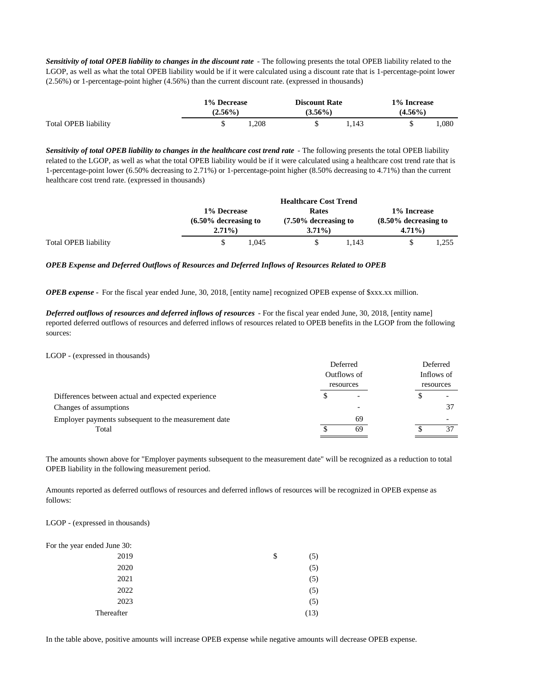*Sensitivity of total OPEB liability to changes in the discount rate* - The following presents the total OPEB liability related to the LGOP, as well as what the total OPEB liability would be if it were calculated using a discount rate that is 1-percentage-point lower (2.56%) or 1-percentage-point higher (4.56%) than the current discount rate. (expressed in thousands)

|                      | 1% Decrease |      | <b>Discount Rate</b> |       | 1% Increase |      |
|----------------------|-------------|------|----------------------|-------|-------------|------|
|                      | $(2.56\%)$  |      | $(3.56\%)$           |       | $(4.56\%)$  |      |
| Total OPEB liability |             | .208 |                      | 1.143 |             | .080 |

*Sensitivity of total OPEB liability to changes in the healthcare cost trend rate* - The following presents the total OPEB liability related to the LGOP, as well as what the total OPEB liability would be if it were calculated using a healthcare cost trend rate that is 1-percentage-point lower (6.50% decreasing to 2.71%) or 1-percentage-point higher (8.50% decreasing to 4.71%) than the current healthcare cost trend rate. (expressed in thousands)

|                      |                         |      | <b>Healthcare Cost Trend</b> |       |                         |       |
|----------------------|-------------------------|------|------------------------------|-------|-------------------------|-------|
|                      | 1% Decrease             |      | <b>Rates</b>                 |       | 1% Increase             |       |
|                      | $(6.50\%$ decreasing to |      | $(7.50\%$ decreasing to      |       | $(8.50\%$ decreasing to |       |
|                      | $2.71\%$                |      | $3.71\%$                     |       | $4.71\%$                |       |
| Total OPEB liability |                         | .045 |                              | 1.143 |                         | 1.255 |

#### *OPEB Expense and Deferred Outflows of Resources and Deferred Inflows of Resources Related to OPEB*

*OPEB expense -* For the fiscal year ended June, 30, 2018, [entity name] recognized OPEB expense of \$xxx.xx million.

*Deferred outflows of resources and deferred inflows of resources* - For the fiscal year ended June, 30, 2018, [entity name] reported deferred outflows of resources and deferred inflows of resources related to OPEB benefits in the LGOP from the following sources:

LGOP - (expressed in thousands)

| LOOI - (CAPICSSCU III UIUUSAIIUS)                                            | Deferred<br>Outflows of<br>resources | Deferred<br>Inflows of<br>resources |
|------------------------------------------------------------------------------|--------------------------------------|-------------------------------------|
| Differences between actual and expected experience<br>Changes of assumptions | -<br>-                               |                                     |
| Employer payments subsequent to the measurement date<br>Total                | 69<br>69                             | 37                                  |
|                                                                              |                                      |                                     |

The amounts shown above for "Employer payments subsequent to the measurement date" will be recognized as a reduction to total OPEB liability in the following measurement period.

Amounts reported as deferred outflows of resources and deferred inflows of resources will be recognized in OPEB expense as follows:

LGOP - (expressed in thousands)

| For the year ended June 30: |           |
|-----------------------------|-----------|
| 2019                        | \$<br>(5) |
| 2020                        | (5)       |
| 2021                        | (5)       |
| 2022                        | (5)       |
| 2023                        | (5)       |
| Thereafter                  | (13)      |

In the table above, positive amounts will increase OPEB expense while negative amounts will decrease OPEB expense.